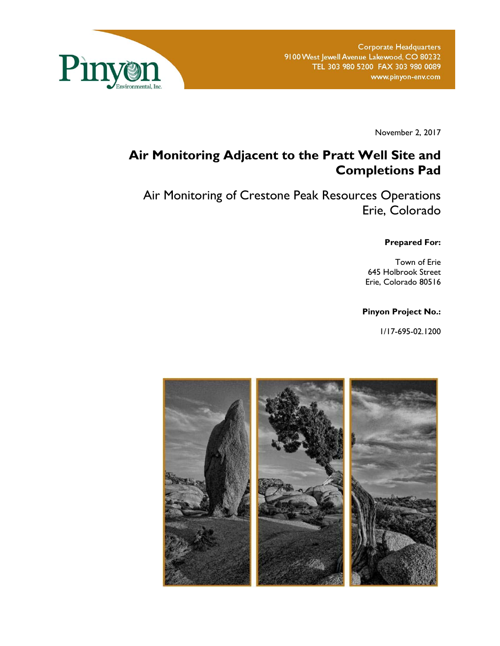

November 2, 2017

# **Air Monitoring Adjacent to the Pratt Well Site and Completions Pad**

Air Monitoring of Crestone Peak Resources Operations Erie, Colorado

**Prepared For:** 

Town of Erie 645 Holbrook Street Erie, Colorado 80516

#### **Pinyon Project No.:**

1/17-695-02.1200

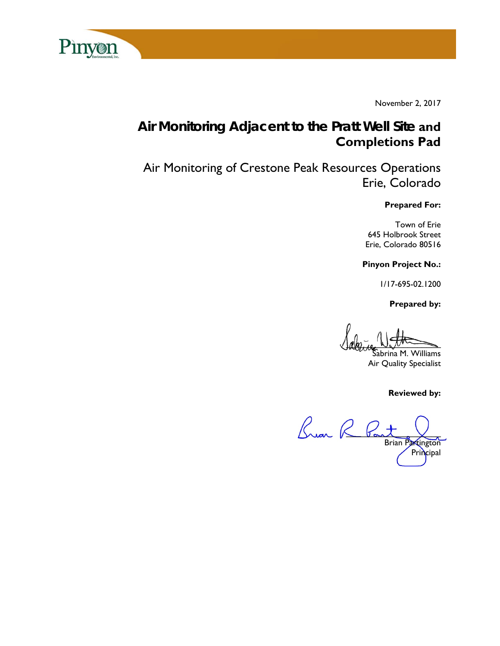

November 2, 2017

# **Air Monitoring Adjacent to the Pratt Well Site and Completions Pad**

Air Monitoring of Crestone Peak Resources Operations Erie, Colorado

#### **Prepared For:**

Town of Erie 645 Holbrook Street Erie, Colorado 80516

**Pinyon Project No.:** 

1/17-695-02.1200

 **Prepared by:** 

 $\lim_{\omega \to 0} L_{\omega}$  by  $\sqrt{L_{\omega}L_{\omega}}$ 

abrina M. Williams Air Quality Specialist

**Reviewed by:** 

Buan R Pas Brian Partington Principal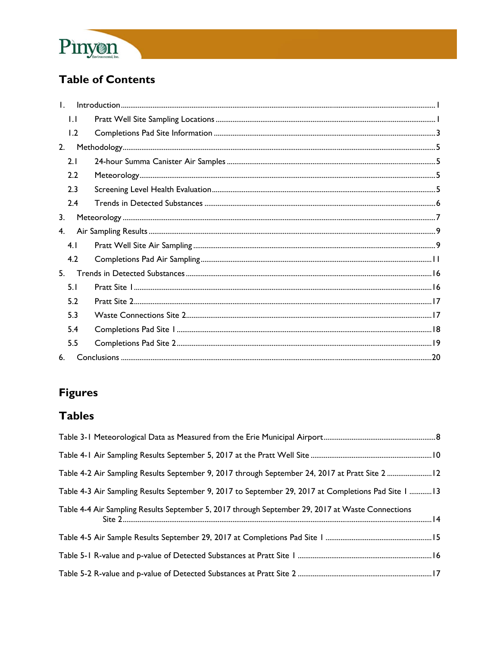

# **Table of Contents**

| $\mathbf{L}$ |              |  |
|--------------|--------------|--|
|              | $\mathsf{L}$ |  |
|              | 1.2          |  |
| 2.           |              |  |
|              | 2.1          |  |
|              | 2.2          |  |
|              | 2.3          |  |
|              | 2.4          |  |
| 3.           |              |  |
| 4.           |              |  |
|              | 4.1          |  |
|              | 4.2          |  |
| 5.           |              |  |
|              | 5.1          |  |
|              | 5.2          |  |
|              | 5.3          |  |
|              | 5.4          |  |
|              | 5.5          |  |
| 6.           |              |  |

# **Figures**

# **Tables**

| Table 4-2 Air Sampling Results September 9, 2017 through September 24, 2017 at Pratt Site 2  12     |  |
|-----------------------------------------------------------------------------------------------------|--|
| Table 4-3 Air Sampling Results September 9, 2017 to September 29, 2017 at Completions Pad Site 1 13 |  |
| Table 4-4 Air Sampling Results September 5, 2017 through September 29, 2017 at Waste Connections    |  |
|                                                                                                     |  |
|                                                                                                     |  |
|                                                                                                     |  |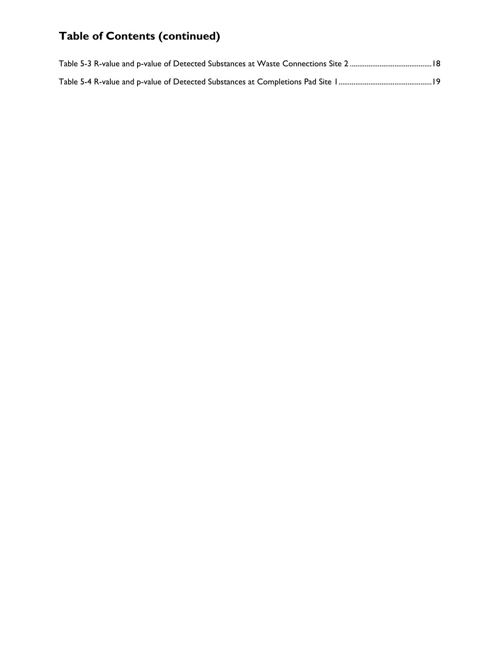# **Table of Contents (continued)**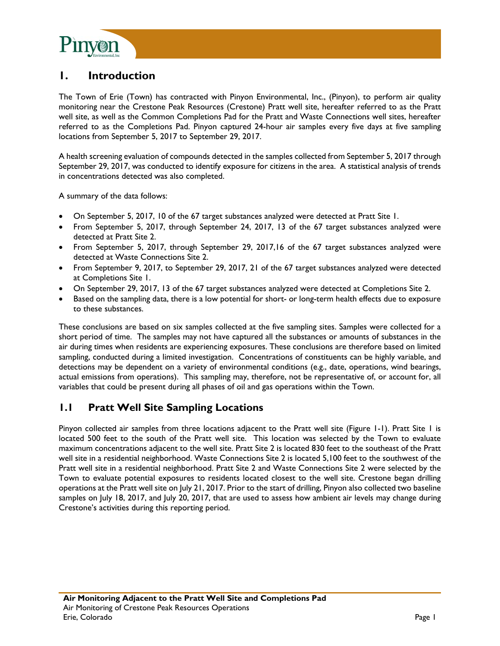

# **1. Introduction**

The Town of Erie (Town) has contracted with Pinyon Environmental, Inc., (Pinyon), to perform air quality monitoring near the Crestone Peak Resources (Crestone) Pratt well site, hereafter referred to as the Pratt well site, as well as the Common Completions Pad for the Pratt and Waste Connections well sites, hereafter referred to as the Completions Pad. Pinyon captured 24-hour air samples every five days at five sampling locations from September 5, 2017 to September 29, 2017.

A health screening evaluation of compounds detected in the samples collected from September 5, 2017 through September 29, 2017, was conducted to identify exposure for citizens in the area. A statistical analysis of trends in concentrations detected was also completed.

A summary of the data follows:

- On September 5, 2017, 10 of the 67 target substances analyzed were detected at Pratt Site 1.
- From September 5, 2017, through September 24, 2017, 13 of the 67 target substances analyzed were detected at Pratt Site 2.
- From September 5, 2017, through September 29, 2017,16 of the 67 target substances analyzed were detected at Waste Connections Site 2.
- From September 9, 2017, to September 29, 2017, 21 of the 67 target substances analyzed were detected at Completions Site 1.
- On September 29, 2017, 13 of the 67 target substances analyzed were detected at Completions Site 2.
- Based on the sampling data, there is a low potential for short- or long-term health effects due to exposure to these substances.

These conclusions are based on six samples collected at the five sampling sites. Samples were collected for a short period of time. The samples may not have captured all the substances or amounts of substances in the air during times when residents are experiencing exposures. These conclusions are therefore based on limited sampling, conducted during a limited investigation. Concentrations of constituents can be highly variable, and detections may be dependent on a variety of environmental conditions (e.g., date, operations, wind bearings, actual emissions from operations). This sampling may, therefore, not be representative of, or account for, all variables that could be present during all phases of oil and gas operations within the Town.

### **1.1 Pratt Well Site Sampling Locations**

Pinyon collected air samples from three locations adjacent to the Pratt well site (Figure 1-1). Pratt Site 1 is located 500 feet to the south of the Pratt well site. This location was selected by the Town to evaluate maximum concentrations adjacent to the well site. Pratt Site 2 is located 830 feet to the southeast of the Pratt well site in a residential neighborhood. Waste Connections Site 2 is located 5,100 feet to the southwest of the Pratt well site in a residential neighborhood. Pratt Site 2 and Waste Connections Site 2 were selected by the Town to evaluate potential exposures to residents located closest to the well site. Crestone began drilling operations at the Pratt well site on July 21, 2017. Prior to the start of drilling, Pinyon also collected two baseline samples on July 18, 2017, and July 20, 2017, that are used to assess how ambient air levels may change during Crestone's activities during this reporting period.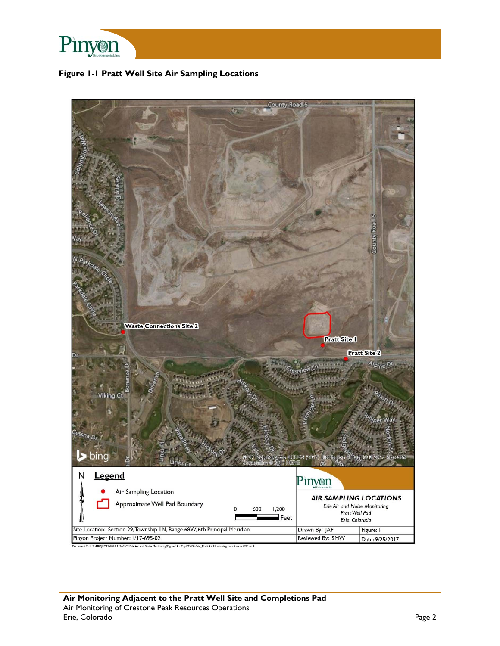

#### **Figure 1-1 Pratt Well Site Air Sampling Locations**

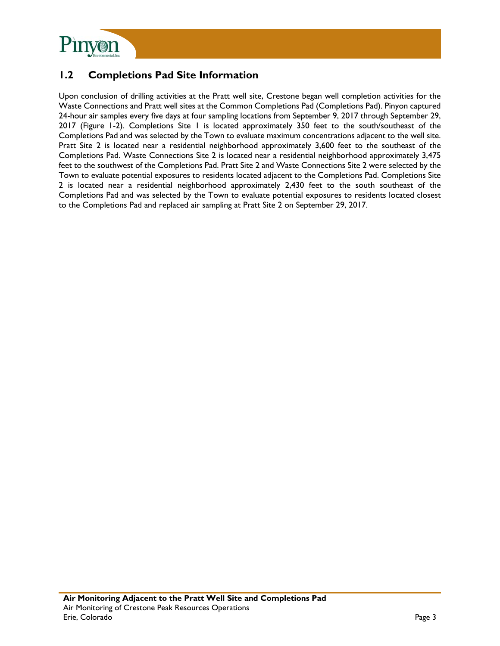

### **1.2 Completions Pad Site Information**

Upon conclusion of drilling activities at the Pratt well site, Crestone began well completion activities for the Waste Connections and Pratt well sites at the Common Completions Pad (Completions Pad). Pinyon captured 24-hour air samples every five days at four sampling locations from September 9, 2017 through September 29, 2017 (Figure 1-2). Completions Site 1 is located approximately 350 feet to the south/southeast of the Completions Pad and was selected by the Town to evaluate maximum concentrations adjacent to the well site. Pratt Site 2 is located near a residential neighborhood approximately 3,600 feet to the southeast of the Completions Pad. Waste Connections Site 2 is located near a residential neighborhood approximately 3,475 feet to the southwest of the Completions Pad. Pratt Site 2 and Waste Connections Site 2 were selected by the Town to evaluate potential exposures to residents located adjacent to the Completions Pad. Completions Site 2 is located near a residential neighborhood approximately 2,430 feet to the south southeast of the Completions Pad and was selected by the Town to evaluate potential exposures to residents located closest to the Completions Pad and replaced air sampling at Pratt Site 2 on September 29, 2017.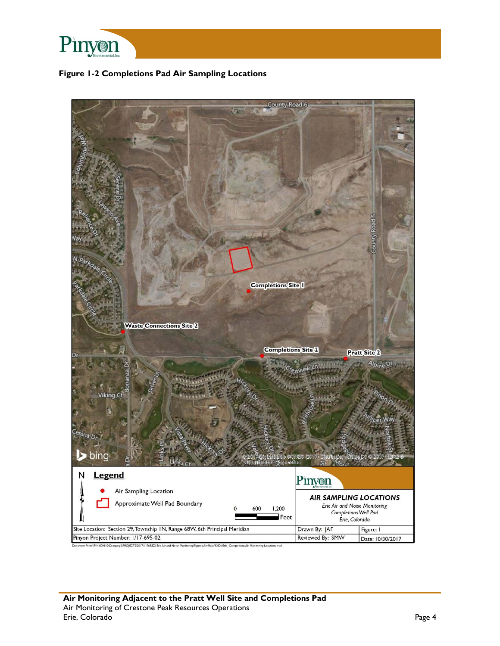

#### **Figure 1-2 Completions Pad Air Sampling Locations**

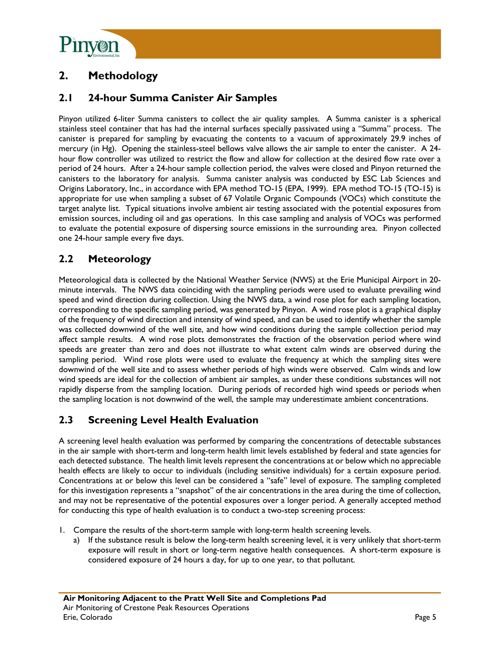

# **2. Methodology**

### **2.1 24-hour Summa Canister Air Samples**

Pinyon utilized 6-liter Summa canisters to collect the air quality samples. A Summa canister is a spherical stainless steel container that has had the internal surfaces specially passivated using a "Summa" process. The canister is prepared for sampling by evacuating the contents to a vacuum of approximately 29.9 inches of mercury (in Hg). Opening the stainless-steel bellows valve allows the air sample to enter the canister. A 24 hour flow controller was utilized to restrict the flow and allow for collection at the desired flow rate over a period of 24 hours. After a 24-hour sample collection period, the valves were closed and Pinyon returned the canisters to the laboratory for analysis. Summa canister analysis was conducted by ESC Lab Sciences and Origins Laboratory, Inc., in accordance with EPA method TO-15 (EPA, 1999). EPA method TO-15 (TO-15) is appropriate for use when sampling a subset of 67 Volatile Organic Compounds (VOCs) which constitute the target analyte list. Typical situations involve ambient air testing associated with the potential exposures from emission sources, including oil and gas operations. In this case sampling and analysis of VOCs was performed to evaluate the potential exposure of dispersing source emissions in the surrounding area. Pinyon collected one 24-hour sample every five days.

### **2.2 Meteorology**

Meteorological data is collected by the National Weather Service (NWS) at the Erie Municipal Airport in 20 minute intervals. The NWS data coinciding with the sampling periods were used to evaluate prevailing wind speed and wind direction during collection. Using the NWS data, a wind rose plot for each sampling location, corresponding to the specific sampling period, was generated by Pinyon. A wind rose plot is a graphical display of the frequency of wind direction and intensity of wind speed, and can be used to identify whether the sample was collected downwind of the well site, and how wind conditions during the sample collection period may affect sample results. A wind rose plots demonstrates the fraction of the observation period where wind speeds are greater than zero and does not illustrate to what extent calm winds are observed during the sampling period. Wind rose plots were used to evaluate the frequency at which the sampling sites were downwind of the well site and to assess whether periods of high winds were observed. Calm winds and low wind speeds are ideal for the collection of ambient air samples, as under these conditions substances will not rapidly disperse from the sampling location. During periods of recorded high wind speeds or periods when the sampling location is not downwind of the well, the sample may underestimate ambient concentrations.

### **2.3 Screening Level Health Evaluation**

A screening level health evaluation was performed by comparing the concentrations of detectable substances in the air sample with short-term and long-term health limit levels established by federal and state agencies for each detected substance. The health limit levels represent the concentrations at or below which no appreciable health effects are likely to occur to individuals (including sensitive individuals) for a certain exposure period. Concentrations at or below this level can be considered a "safe" level of exposure. The sampling completed for this investigation represents a "snapshot" of the air concentrations in the area during the time of collection, and may not be representative of the potential exposures over a longer period. A generally accepted method for conducting this type of health evaluation is to conduct a two-step screening process:

- 1. Compare the results of the short-term sample with long-term health screening levels.
	- a) If the substance result is below the long-term health screening level, it is very unlikely that short-term exposure will result in short or long-term negative health consequences. A short-term exposure is considered exposure of 24 hours a day, for up to one year, to that pollutant.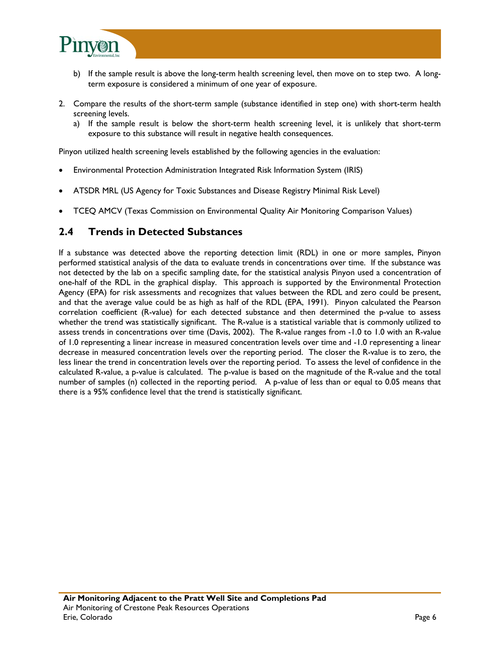

- b) If the sample result is above the long-term health screening level, then move on to step two. A longterm exposure is considered a minimum of one year of exposure.
- 2. Compare the results of the short-term sample (substance identified in step one) with short-term health screening levels.
	- a) If the sample result is below the short-term health screening level, it is unlikely that short-term exposure to this substance will result in negative health consequences.

Pinyon utilized health screening levels established by the following agencies in the evaluation:

- Environmental Protection Administration Integrated Risk Information System (IRIS)
- ATSDR MRL (US Agency for Toxic Substances and Disease Registry Minimal Risk Level)
- TCEQ AMCV (Texas Commission on Environmental Quality Air Monitoring Comparison Values)

#### **2.4 Trends in Detected Substances**

If a substance was detected above the reporting detection limit (RDL) in one or more samples, Pinyon performed statistical analysis of the data to evaluate trends in concentrations over time. If the substance was not detected by the lab on a specific sampling date, for the statistical analysis Pinyon used a concentration of one-half of the RDL in the graphical display. This approach is supported by the Environmental Protection Agency (EPA) for risk assessments and recognizes that values between the RDL and zero could be present, and that the average value could be as high as half of the RDL (EPA, 1991). Pinyon calculated the Pearson correlation coefficient (R-value) for each detected substance and then determined the p-value to assess whether the trend was statistically significant. The R-value is a statistical variable that is commonly utilized to assess trends in concentrations over time (Davis, 2002). The R-value ranges from -1.0 to 1.0 with an R-value of 1.0 representing a linear increase in measured concentration levels over time and -1.0 representing a linear decrease in measured concentration levels over the reporting period. The closer the R-value is to zero, the less linear the trend in concentration levels over the reporting period. To assess the level of confidence in the calculated R-value, a p-value is calculated. The p-value is based on the magnitude of the R-value and the total number of samples (n) collected in the reporting period. A p-value of less than or equal to 0.05 means that there is a 95% confidence level that the trend is statistically significant.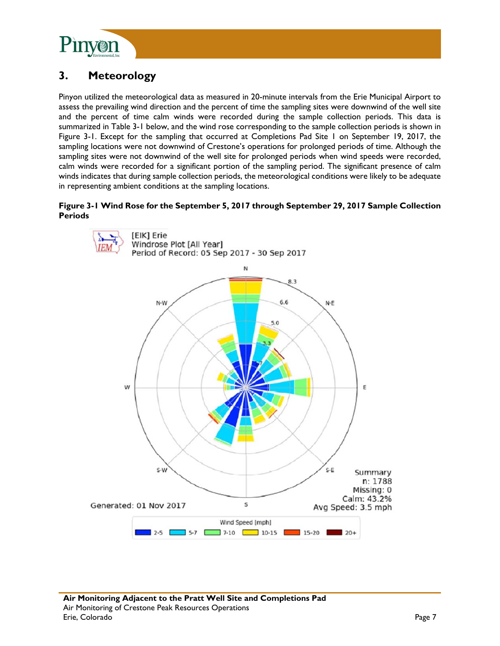

# **3. Meteorology**

Pinyon utilized the meteorological data as measured in 20-minute intervals from the Erie Municipal Airport to assess the prevailing wind direction and the percent of time the sampling sites were downwind of the well site and the percent of time calm winds were recorded during the sample collection periods. This data is summarized in Table 3-1 below, and the wind rose corresponding to the sample collection periods is shown in Figure 3-1. Except for the sampling that occurred at Completions Pad Site 1 on September 19, 2017, the sampling locations were not downwind of Crestone's operations for prolonged periods of time. Although the sampling sites were not downwind of the well site for prolonged periods when wind speeds were recorded, calm winds were recorded for a significant portion of the sampling period. The significant presence of calm winds indicates that during sample collection periods, the meteorological conditions were likely to be adequate in representing ambient conditions at the sampling locations.

#### **Figure 3-1 Wind Rose for the September 5, 2017 through September 29, 2017 Sample Collection Periods**

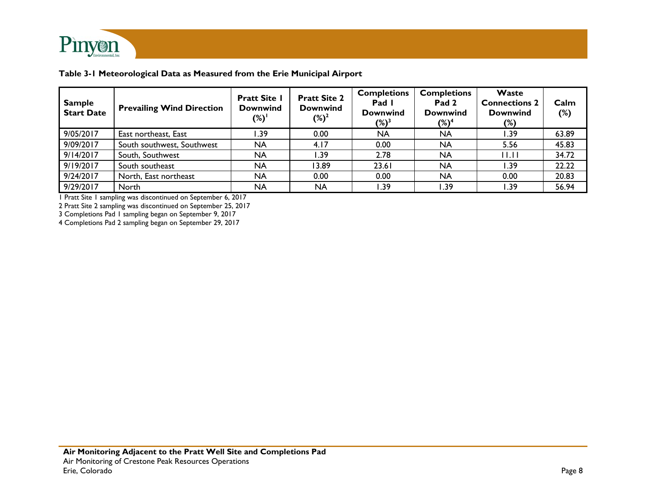

**Table 3-1 Meteorological Data as Measured from the Erie Municipal Airport** 

| <b>Sample</b><br><b>Start Date</b> | <b>Prevailing Wind Direction</b> | <b>Pratt Site I</b><br><b>Downwind</b><br>$(\%)$ | <b>Pratt Site 2</b><br><b>Downwind</b><br>$(\%)^2$ | <b>Completions</b><br>Pad I<br><b>Downwind</b><br>$(\%)^3$ | <b>Completions</b><br>Pad 2<br><b>Downwind</b><br>$(\%)^4$ | Waste<br><b>Connections 2</b><br><b>Downwind</b><br>$(\%)$ | Calm<br>$(\%)$ |
|------------------------------------|----------------------------------|--------------------------------------------------|----------------------------------------------------|------------------------------------------------------------|------------------------------------------------------------|------------------------------------------------------------|----------------|
| 9/05/2017                          | East northeast, East             | 39. ا                                            | 0.00                                               | <b>NA</b>                                                  | <b>NA</b>                                                  | I.39                                                       | 63.89          |
| 9/09/2017                          | South southwest, Southwest       | NA                                               | 4.17                                               | 0.00                                                       | <b>NA</b>                                                  | 5.56                                                       | 45.83          |
| 9/14/2017                          | South, Southwest                 | NA                                               | .39 <sub>1</sub>                                   | 2.78                                                       | <b>NA</b>                                                  | 11.11                                                      | 34.72          |
| 9/19/2017                          | South southeast                  | NA                                               | 13.89                                              | 23.61                                                      | <b>NA</b>                                                  | 39. ا                                                      | 22.22          |
| 9/24/2017                          | North, East northeast            | <b>NA</b>                                        | 0.00                                               | 0.00                                                       | <b>NA</b>                                                  | 0.00                                                       | 20.83          |
| 9/29/2017                          | North                            | NA                                               | NA                                                 | 39. ا                                                      | 39. ا                                                      | I.39                                                       | 56.94          |

1 Pratt Site 1 sampling was discontinued on September 6, 2017

2 Pratt Site 2 sampling was discontinued on September 25, 2017

3 Completions Pad 1 sampling began on September 9, 2017

4 Completions Pad 2 sampling began on September 29, 2017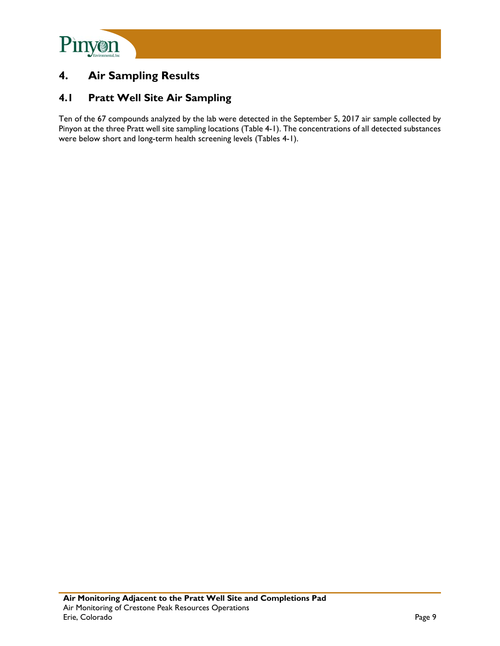

# **4. Air Sampling Results**

## **4.1 Pratt Well Site Air Sampling**

Ten of the 67 compounds analyzed by the lab were detected in the September 5, 2017 air sample collected by Pinyon at the three Pratt well site sampling locations (Table 4-1). The concentrations of all detected substances were below short and long-term health screening levels (Tables 4-1).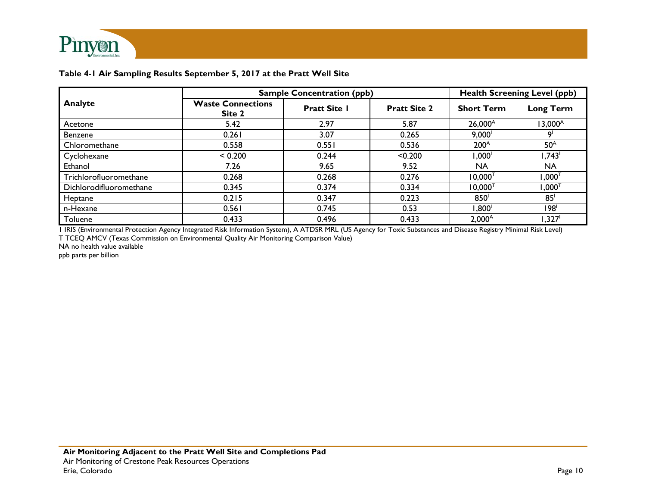

#### **Table 4-1 Air Sampling Results September 5, 2017 at the Pratt Well Site**

|                         | <b>Sample Concentration (ppb)</b>  | <b>Health Screening Level (ppb)</b> |                     |                     |                     |
|-------------------------|------------------------------------|-------------------------------------|---------------------|---------------------|---------------------|
| Analyte                 | <b>Waste Connections</b><br>Site 2 | <b>Pratt Site I</b>                 | <b>Pratt Site 2</b> | <b>Short Term</b>   | <b>Long Term</b>    |
| Acetone                 | 5.42                               | 2.97                                | 5.87                | $26,000^{\text{A}}$ | $13,000^A$          |
| <b>Benzene</b>          | 0.261                              | 3.07                                | 0.265               | 9,000               |                     |
| Chloromethane           | 0.558                              | 0.551                               | 0.536               | 200 <sup>A</sup>    | 50 <sup>A</sup>     |
| Cyclohexane             | < 0.200                            | 0.244                               | < 0.200             | $1,000^\dagger$     | 1,743 <sup>1</sup>  |
| Ethanol                 | 7.26                               | 9.65                                | 9.52                | <b>NA</b>           | NA                  |
| Trichlorofluoromethane  | 0.268                              | 0.268                               | 0.276               | $10,000^{T}$        | $,000$ <sup>T</sup> |
| Dichlorodifluoromethane | 0.345                              | 0.374                               | 0.334               | $10,000^{T}$        | $,000^{T}$          |
| Heptane                 | 0.215                              | 0.347                               | 0.223               | 850 <sup>1</sup>    | 85 <sup>1</sup>     |
| n-Hexane                | 0.561                              | 0.745                               | 0.53                | $1,800^\text{I}$    | ا98'                |
| Toluene                 | 0.433                              | 0.496                               | 0.433               | $2,000^A$           | ,327'               |

1 IRIS (Environmental Protection Agency Integrated Risk Information System), A ATDSR MRL (US Agency for Toxic Substances and Disease Registry Minimal Risk Level) T TCEQ AMCV (Texas Commission on Environmental Quality Air Monitoring Comparison Value)

NA no health value available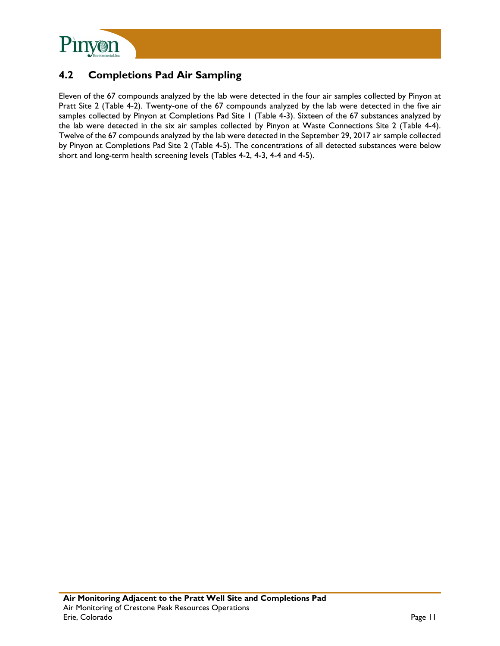

# **4.2 Completions Pad Air Sampling**

Eleven of the 67 compounds analyzed by the lab were detected in the four air samples collected by Pinyon at Pratt Site 2 (Table 4-2). Twenty-one of the 67 compounds analyzed by the lab were detected in the five air samples collected by Pinyon at Completions Pad Site 1 (Table 4-3). Sixteen of the 67 substances analyzed by the lab were detected in the six air samples collected by Pinyon at Waste Connections Site 2 (Table 4-4). Twelve of the 67 compounds analyzed by the lab were detected in the September 29, 2017 air sample collected by Pinyon at Completions Pad Site 2 (Table 4-5). The concentrations of all detected substances were below short and long-term health screening levels (Tables 4-2, 4-3, 4-4 and 4-5).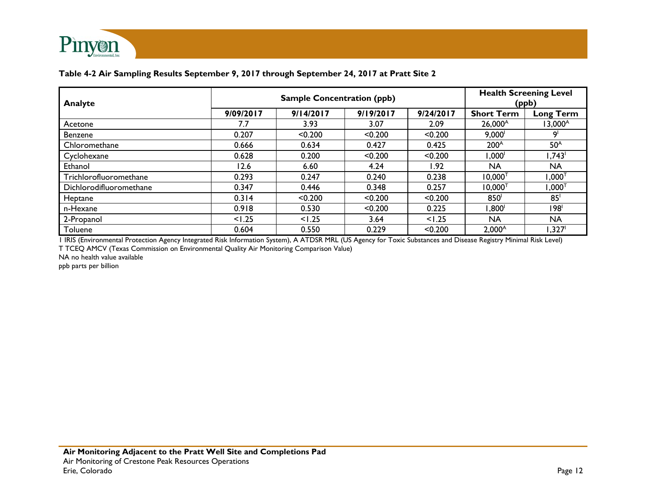

#### **Table 4-2 Air Sampling Results September 9, 2017 through September 24, 2017 at Pratt Site 2**

| Analyte                 |           | <b>Health Screening Level</b><br>(ppb) |           |           |                   |                    |
|-------------------------|-----------|----------------------------------------|-----------|-----------|-------------------|--------------------|
|                         | 9/09/2017 | 9/14/2017                              | 9/19/2017 | 9/24/2017 | <b>Short Term</b> | <b>Long Term</b>   |
| Acetone                 | 7.7       | 3.93                                   | 3.07      | 2.09      | $26,000^{\circ}$  | $13,000^{\circ}$   |
| <b>Benzene</b>          | 0.207     | < 0.200                                | < 0.200   | < 0.200   | $9,000^{\circ}$   | او.                |
| Chloromethane           | 0.666     | 0.634                                  | 0.427     | 0.425     | 200 <sup>A</sup>  | 50 <sup>A</sup>    |
| Cyclohexane             | 0.628     | 0.200                                  | < 0.200   | < 0.200   | '000, ا           | 1,743 <sup>1</sup> |
| Ethanol                 | 12.6      | 6.60                                   | 4.24      | I.92      | <b>NA</b>         | <b>NA</b>          |
| Trichlorofluoromethane  | 0.293     | 0.247                                  | 0.240     | 0.238     | $10,000^{T}$      | ⊺000, I            |
| Dichlorodifluoromethane | 0.347     | 0.446                                  | 0.348     | 0.257     | $10,000^{T}$      | $1,000^\top$       |
| Heptane                 | 0.314     | < 0.200                                | < 0.200   | < 0.200   | 850 <sup>1</sup>  | 85 <sup>1</sup>    |
| n-Hexane                | 0.918     | 0.530                                  | < 0.200   | 0.225     | ∛800. ا           | 198'               |
| 2-Propanol              | < 1.25    | 1.25                                   | 3.64      | 1.25      | <b>NA</b>         | <b>NA</b>          |
| Toluene                 | 0.604     | 0.550                                  | 0.229     | < 0.200   | $2,000^{\circ}$   | ا327. ا            |

1 IRIS (Environmental Protection Agency Integrated Risk Information System), A ATDSR MRL (US Agency for Toxic Substances and Disease Registry Minimal Risk Level) T TCEQ AMCV (Texas Commission on Environmental Quality Air Monitoring Comparison Value)

NA no health value available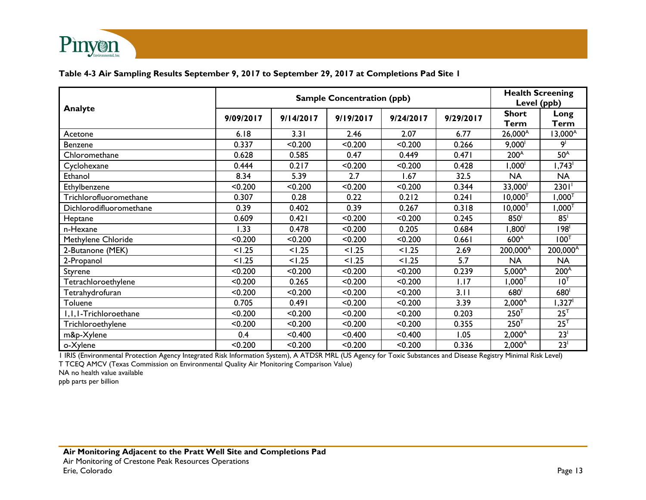

#### **Table 4-3 Air Sampling Results September 9, 2017 to September 29, 2017 at Completions Pad Site 1**

|                         |           | <b>Health Screening</b><br>Level (ppb) |           |           |           |                             |                      |
|-------------------------|-----------|----------------------------------------|-----------|-----------|-----------|-----------------------------|----------------------|
| Analyte                 | 9/09/2017 | 9/14/2017                              | 9/19/2017 | 9/24/2017 | 9/29/2017 | <b>Short</b><br><b>Term</b> | Long<br><b>Term</b>  |
| Acetone                 | 6.18      | 3.31                                   | 2.46      | 2.07      | 6.77      | 26,000 <sup>A</sup>         | $13,000^{\circ}$     |
| Benzene                 | 0.337     | < 0.200                                | < 0.200   | < 0.200   | 0.266     | $9,000^{\circ}$             | 9 <sup>1</sup>       |
| Chloromethane           | 0.628     | 0.585                                  | 0.47      | 0.449     | 0.471     | 200 <sup>A</sup>            | 50 <sup>A</sup>      |
| Cyclohexane             | 0.444     | 0.217                                  | < 0.200   | < 0.200   | 0.428     | 1,000 <sup>1</sup>          | 1,743                |
| Ethanol                 | 8.34      | 5.39                                   | 2.7       | 1.67      | 32.5      | <b>NA</b>                   | <b>NA</b>            |
| Ethylbenzene            | < 0.200   | < 0.200                                | < 0.200   | < 0.200   | 0.344     | 33,000 <sup>1</sup>         | $2301$ <sup>1</sup>  |
| Trichlorofluoromethane  | 0.307     | 0.28                                   | 0.22      | 0.212     | 0.241     | $10,000^T$                  | ⊺000, I              |
| Dichlorodifluoromethane | 0.39      | 0.402                                  | 0.39      | 0.267     | 0.318     | $10,000^{T}$                | $,000$ <sup>T</sup>  |
| Heptane                 | 0.609     | 0.421                                  | < 0.200   | < 0.200   | 0.245     | 850 <sup>1</sup>            | 85 <sup>1</sup>      |
| n-Hexane                | 1.33      | 0.478                                  | < 0.200   | 0.205     | 0.684     | '800, ا                     | 198 <sup>1</sup>     |
| Methylene Chloride      | < 0.200   | < 0.200                                | < 0.200   | < 0.200   | 0.661     | 600 <sup>A</sup>            | 100 <sup>T</sup>     |
| 2-Butanone (MEK)        | < 1.25    | 1.25                                   | < 1.25    | 1.25      | 2.69      | 200,000 <sup>A</sup>        | 200,000 <sup>A</sup> |
| 2-Propanol              | < 1.25    | < 1.25                                 | < 1.25    | < 1.25    | 5.7       | <b>NA</b>                   | <b>NA</b>            |
| Styrene                 | < 0.200   | < 0.200                                | < 0.200   | < 0.200   | 0.239     | $5,000^{\circ}$             | 200 <sup>A</sup>     |
| Tetrachloroethylene     | < 0.200   | 0.265                                  | < 0.200   | < 0.200   | 1.17      | $1,000^{T}$                 | 10 <sup>T</sup>      |
| Tetrahydrofuran         | < 0.200   | < 0.200                                | < 0.200   | < 0.200   | 3.11      | 680 <sup>1</sup>            | 680 <sup>1</sup>     |
| Toluene                 | 0.705     | 0.491                                  | < 0.200   | < 0.200   | 3.39      | $2,000^{\text{A}}$          | '327, ا              |
| I, I, I-Trichloroethane | < 0.200   | < 0.200                                | < 0.200   | < 0.200   | 0.203     | $250^{T}$                   | $25^T$               |
| Trichloroethylene       | < 0.200   | < 0.200                                | < 0.200   | < 0.200   | 0.355     | 250 <sup>T</sup>            | 25 <sup>T</sup>      |
| m&p-Xylene              | 0.4       | < 0.400                                | < 0.400   | < 0.400   | 1.05      | $2,000^{\text{A}}$          | 23 <sup>1</sup>      |
| o-Xylene                | < 0.200   | < 0.200                                | < 0.200   | < 0.200   | 0.336     | $2,000^{\text{A}}$          | 23 <sup>1</sup>      |

1 IRIS (Environmental Protection Agency Integrated Risk Information System), A ATDSR MRL (US Agency for Toxic Substances and Disease Registry Minimal Risk Level) T TCEQ AMCV (Texas Commission on Environmental Quality Air Monitoring Comparison Value)

NA no health value available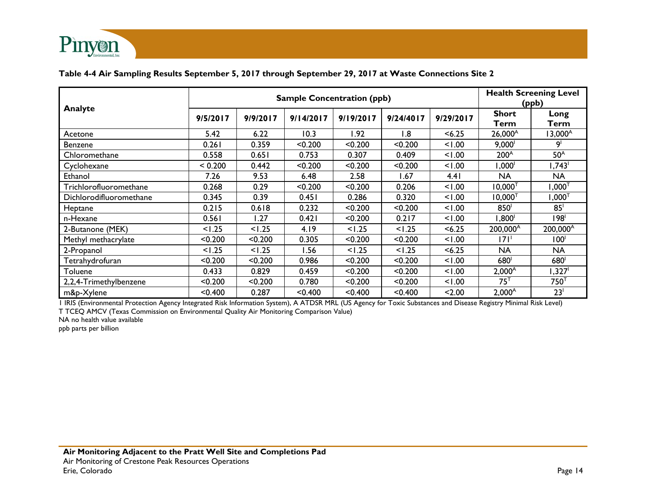

#### **Table 4-4 Air Sampling Results September 5, 2017 through September 29, 2017 at Waste Connections Site 2**

| Analyte                 | <b>Sample Concentration (ppb)</b> |          |           |             |           |           |                    | <b>Health Screening Level</b><br>(ppb) |  |
|-------------------------|-----------------------------------|----------|-----------|-------------|-----------|-----------|--------------------|----------------------------------------|--|
|                         | 9/5/2017                          | 9/9/2017 | 9/14/2017 | 9/19/2017   | 9/24/4017 | 9/29/2017 | Short<br>Term      | Long<br>Term                           |  |
| Acetone                 | 5.42                              | 6.22     | 10.3      | <b>1.92</b> | .8        | < 6.25    | $26,000^{\circ}$   | $13,000^{\circ}$                       |  |
| Benzene                 | 0.261                             | 0.359    | < 0.200   | < 0.200     | < 0.200   | 1.00      | $9,000^{\dagger}$  | او                                     |  |
| Chloromethane           | 0.558                             | 0.651    | 0.753     | 0.307       | 0.409     | 1.00      | 200 <sup>A</sup>   | 50 <sup>A</sup>                        |  |
| Cyclohexane             | < 0.200                           | 0.442    | < 0.200   | < 0.200     | < 0.200   | 1.00      | 1,000 <sup>1</sup> | 1,743 <sup>1</sup>                     |  |
| Ethanol                 | 7.26                              | 9.53     | 6.48      | 2.58        | 1.67      | 4.41      | <b>NA</b>          | <b>NA</b>                              |  |
| Trichlorofluoromethane  | 0.268                             | 0.29     | < 0.200   | < 0.200     | 0.206     | 1.00      | $10,000^T$         | $1{,}000^\intercal$                    |  |
| Dichlorodifluoromethane | 0.345                             | 0.39     | 0.451     | 0.286       | 0.320     | 1.00      | $10,000^{T}$       | ⊺000, ا                                |  |
| Heptane                 | 0.215                             | 0.618    | 0.232     | < 0.200     | < 0.200   | 1.00      | 850 <sup>1</sup>   | 85 <sup>1</sup>                        |  |
| n-Hexane                | 0.561                             | 1.27     | 0.421     | < 0.200     | 0.217     | 1.00      | 1,800 <sup>1</sup> | 198 <sup>1</sup>                       |  |
| 2-Butanone (MEK)        | < 1.25                            | 1.25     | 4.19      | < 1.25      | < 1.25    | < 6.25    | $200,000^{\circ}$  | 200,000 <sup>A</sup>                   |  |
| Methyl methacrylate     | < 0.200                           | < 0.200  | 0.305     | < 0.200     | < 0.200   | 1.00      | 171'               | 100 <sup>1</sup>                       |  |
| 2-Propanol              | < 1.25                            | < 1.25   | l.56      | < 1.25      | < 1.25    | < 6.25    | NA                 | <b>NA</b>                              |  |
| Tetrahydrofuran         | < 0.200                           | < 0.200  | 0.986     | < 0.200     | < 0.200   | 1.00      | 680                | 680                                    |  |
| Toluene                 | 0.433                             | 0.829    | 0.459     | < 0.200     | < 0.200   | 1.00      | $2,000^{\circ}$    | $1,327^\circ$                          |  |
| 2,2,4-Trimethylbenzene  | < 0.200                           | < 0.200  | 0.780     | < 0.200     | < 0.200   | 1.00      | $75^{\top}$        | 750 <sup>T</sup>                       |  |
| m&p-Xylene              | < 0.400                           | 0.287    | < 0.400   | < 0.400     | < 0.400   | < 2.00    | $2,000^A$          | 23 <sup>1</sup>                        |  |

1 IRIS (Environmental Protection Agency Integrated Risk Information System), A ATDSR MRL (US Agency for Toxic Substances and Disease Registry Minimal Risk Level)

T TCEQ AMCV (Texas Commission on Environmental Quality Air Monitoring Comparison Value)

NA no health value available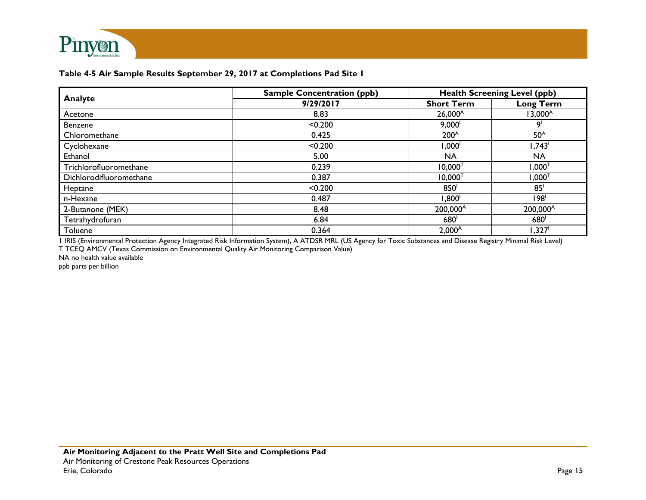

|                         | <b>Sample Concentration (ppb)</b> |                      | <b>Health Screening Level (ppb)</b> |
|-------------------------|-----------------------------------|----------------------|-------------------------------------|
| Analyte                 | 9/29/2017                         | <b>Short Term</b>    | <b>Long Term</b>                    |
| Acetone                 | 8.83                              | $26,000^{\text{A}}$  | $13,000^A$                          |
| Benzene                 | < 0.200                           | 9,000                | ٩l                                  |
| Chloromethane           | 0.425                             | $200^A$              | 50 <sup>A</sup>                     |
| Cyclohexane             | < 0.200                           | ,000 <sup>1</sup>    | 1,743                               |
| Ethanol                 | 5.00                              | <b>NA</b>            | NA                                  |
| Trichlorofluoromethane  | 0.239                             | $10,000^T$           | $1,000^\intercal$                   |
| Dichlorodifluoromethane | 0.387                             | $10,000^T$           | ⊺000, I                             |
| Heptane                 | < 0.200                           | 850                  | 85 <sup>1</sup>                     |
| n-Hexane                | 0.487                             | 1,800 <sup>1</sup>   | 198                                 |
| 2-Butanone (MEK)        | 8.48                              | 200,000 <sup>A</sup> | 200,000 <sup>A</sup>                |
| Tetrahydrofuran         | 6.84                              | 680                  | 680                                 |
| Toluene                 | 0.364                             | $2,000^{\circ}$      | $1,327$ <sup>1</sup>                |

1 IRIS (Environmental Protection Agency Integrated Risk Information System), A ATDSR MRL (US Agency for Toxic Substances and Disease Registry Minimal Risk Level) T TCEQ AMCV (Texas Commission on Environmental Quality Air Monitoring Comparison Value)

NA no health value available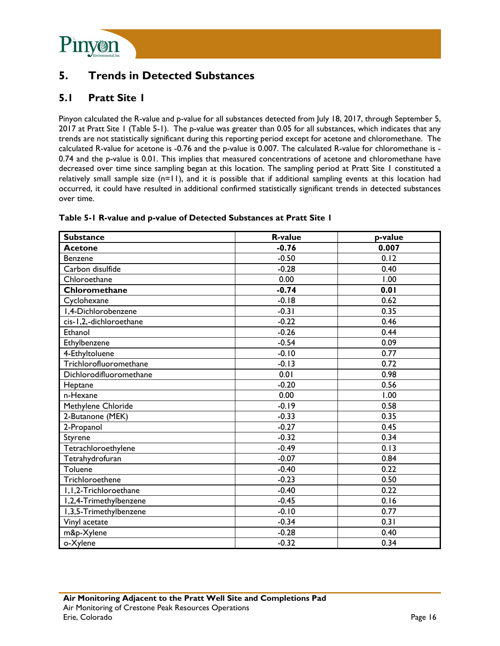

# **5. Trends in Detected Substances**

# **5.1 Pratt Site 1**

Pinyon calculated the R-value and p-value for all substances detected from July 18, 2017, through September 5, 2017 at Pratt Site 1 (Table 5-1). The p-value was greater than 0.05 for all substances, which indicates that any trends are not statistically significant during this reporting period except for acetone and chloromethane. The calculated R-value for acetone is -0.76 and the p-value is 0.007. The calculated R-value for chloromethane is - 0.74 and the p-value is 0.01. This implies that measured concentrations of acetone and chloromethane have decreased over time since sampling began at this location. The sampling period at Pratt Site 1 constituted a relatively small sample size (n=11), and it is possible that if additional sampling events at this location had occurred, it could have resulted in additional confirmed statistically significant trends in detected substances over time.

| <b>Substance</b>        | <b>R-value</b> | p-value |
|-------------------------|----------------|---------|
| <b>Acetone</b>          | $-0.76$        | 0.007   |
| Benzene                 | $-0.50$        | 0.12    |
| Carbon disulfide        | $-0.28$        | 0.40    |
| Chloroethane            | 0.00           | 1.00    |
| Chloromethane           | $-0.74$        | 0.01    |
| Cyclohexane             | $-0.18$        | 0.62    |
| I,4-Dichlorobenzene     | $-0.31$        | 0.35    |
| cis-1,2,-dichloroethane | $-0.22$        | 0.46    |
| Ethanol                 | $-0.26$        | 0.44    |
| Ethylbenzene            | $-0.54$        | 0.09    |
| 4-Ethyltoluene          | $-0.10$        | 0.77    |
| Trichlorofluoromethane  | $-0.13$        | 0.72    |
| Dichlorodifluoromethane | 0.01           | 0.98    |
| Heptane                 | $-0.20$        | 0.56    |
| n-Hexane                | 0.00           | 1.00    |
| Methylene Chloride      | $-0.19$        | 0.58    |
| 2-Butanone (MEK)        | $-0.33$        | 0.35    |
| 2-Propanol              | $-0.27$        | 0.45    |
| Styrene                 | $-0.32$        | 0.34    |
| Tetrachloroethylene     | $-0.49$        | 0.13    |
| Tetrahydrofuran         | $-0.07$        | 0.84    |
| Toluene                 | $-0.40$        | 0.22    |
| Trichloroethene         | $-0.23$        | 0.50    |
| I, I, 2-Trichloroethane | $-0.40$        | 0.22    |
| I,2,4-Trimethylbenzene  | $-0.45$        | 0.16    |
| I,3,5-Trimethylbenzene  | $-0.10$        | 0.77    |
| Vinyl acetate           | $-0.34$        | 0.31    |
| m&p-Xylene              | $-0.28$        | 0.40    |
| o-Xylene                | $-0.32$        | 0.34    |

#### **Table 5-1 R-value and p-value of Detected Substances at Pratt Site 1**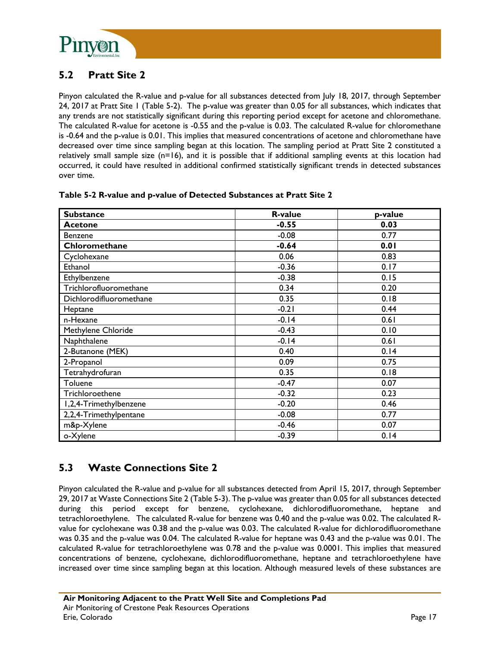

# **5.2 Pratt Site 2**

Pinyon calculated the R-value and p-value for all substances detected from July 18, 2017, through September 24, 2017 at Pratt Site 1 (Table 5-2). The p-value was greater than 0.05 for all substances, which indicates that any trends are not statistically significant during this reporting period except for acetone and chloromethane. The calculated R-value for acetone is -0.55 and the p-value is 0.03. The calculated R-value for chloromethane is -0.64 and the p-value is 0.01. This implies that measured concentrations of acetone and chloromethane have decreased over time since sampling began at this location. The sampling period at Pratt Site 2 constituted a relatively small sample size (n=16), and it is possible that if additional sampling events at this location had occurred, it could have resulted in additional confirmed statistically significant trends in detected substances over time.

| <b>Substance</b>        | <b>R-value</b> | p-value |
|-------------------------|----------------|---------|
| <b>Acetone</b>          | $-0.55$        | 0.03    |
| Benzene                 | $-0.08$        | 0.77    |
| Chloromethane           | $-0.64$        | 0.01    |
| Cyclohexane             | 0.06           | 0.83    |
| Ethanol                 | $-0.36$        | 0.17    |
| Ethylbenzene            | $-0.38$        | 0.15    |
| Trichlorofluoromethane  | 0.34           | 0.20    |
| Dichlorodifluoromethane | 0.35           | 0.18    |
| Heptane                 | $-0.21$        | 0.44    |
| n-Hexane                | $-0.14$        | 0.61    |
| Methylene Chloride      | $-0.43$        | 0.10    |
| Naphthalene             | $-0.14$        | 0.61    |
| 2-Butanone (MEK)        | 0.40           | 0.14    |
| 2-Propanol              | 0.09           | 0.75    |
| Tetrahydrofuran         | 0.35           | 0.18    |
| Toluene                 | $-0.47$        | 0.07    |
| Trichloroethene         | $-0.32$        | 0.23    |
| I,2,4-Trimethylbenzene  | $-0.20$        | 0.46    |
| 2,2,4-Trimethylpentane  | $-0.08$        | 0.77    |
| m&p-Xylene              | $-0.46$        | 0.07    |
| o-Xylene                | $-0.39$        | 0.14    |

#### **Table 5-2 R-value and p-value of Detected Substances at Pratt Site 2**

## **5.3 Waste Connections Site 2**

Pinyon calculated the R-value and p-value for all substances detected from April 15, 2017, through September 29, 2017 at Waste Connections Site 2 (Table 5-3). The p-value was greater than 0.05 for all substances detected during this period except for benzene, cyclohexane, dichlorodifluoromethane, heptane and tetrachloroethylene. The calculated R-value for benzene was 0.40 and the p-value was 0.02. The calculated Rvalue for cyclohexane was 0.38 and the p-value was 0.03. The calculated R-value for dichlorodifluoromethane was 0.35 and the p-value was 0.04. The calculated R-value for heptane was 0.43 and the p-value was 0.01. The calculated R-value for tetrachloroethylene was 0.78 and the p-value was 0.0001. This implies that measured concentrations of benzene, cyclohexane, dichlorodifluoromethane, heptane and tetrachloroethylene have increased over time since sampling began at this location. Although measured levels of these substances are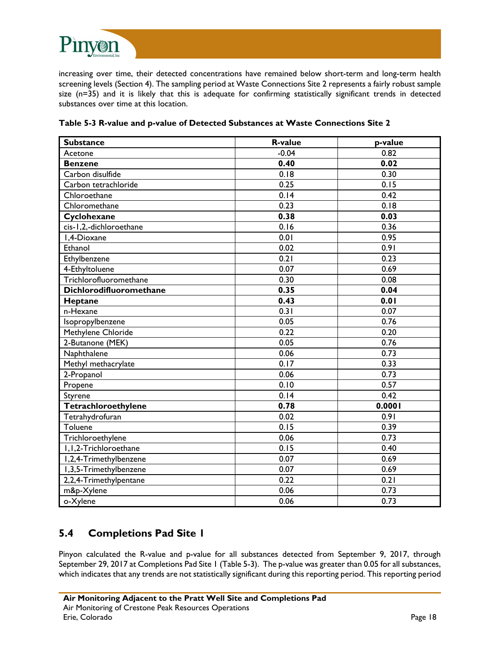

increasing over time, their detected concentrations have remained below short-term and long-term health screening levels (Section 4). The sampling period at Waste Connections Site 2 represents a fairly robust sample size (n=35) and it is likely that this is adequate for confirming statistically significant trends in detected substances over time at this location.

| <b>Substance</b>        | <b>R-value</b> | p-value |
|-------------------------|----------------|---------|
| Acetone                 | $-0.04$        | 0.82    |
| <b>Benzene</b>          | 0.40           | 0.02    |
| Carbon disulfide        | 0.18           | 0.30    |
| Carbon tetrachloride    | 0.25           | 0.15    |
| Chloroethane            | 0.14           | 0.42    |
| Chloromethane           | 0.23           | 0.18    |
| Cyclohexane             | 0.38           | 0.03    |
| cis-1,2,-dichloroethane | 0.16           | 0.36    |
| I,4-Dioxane             | 0.01           | 0.95    |
| Ethanol                 | 0.02           | 0.91    |
| Ethylbenzene            | 0.21           | 0.23    |
| 4-Ethyltoluene          | 0.07           | 0.69    |
| Trichlorofluoromethane  | 0.30           | 0.08    |
| Dichlorodifluoromethane | 0.35           | 0.04    |
| Heptane                 | 0.43           | 0.01    |
| n-Hexane                | 0.31           | 0.07    |
| Isopropylbenzene        | 0.05           | 0.76    |
| Methylene Chloride      | 0.22           | 0.20    |
| 2-Butanone (MEK)        | 0.05           | 0.76    |
| Naphthalene             | 0.06           | 0.73    |
| Methyl methacrylate     | 0.17           | 0.33    |
| 2-Propanol              | 0.06           | 0.73    |
| Propene                 | 0.10           | 0.57    |
| Styrene                 | 0.14           | 0.42    |
| Tetrachloroethylene     | 0.78           | 0.0001  |
| Tetrahydrofuran         | 0.02           | 0.91    |
| Toluene                 | 0.15           | 0.39    |
| Trichloroethylene       | 0.06           | 0.73    |
| I, I, 2-Trichloroethane | 0.15           | 0.40    |
| I,2,4-Trimethylbenzene  | 0.07           | 0.69    |
| I,3,5-Trimethylbenzene  | 0.07           | 0.69    |
| 2,2,4-Trimethylpentane  | 0.22           | 0.21    |
| m&p-Xylene              | 0.06           | 0.73    |
| o-Xylene                | 0.06           | 0.73    |

**Table 5-3 R-value and p-value of Detected Substances at Waste Connections Site 2** 

## **5.4 Completions Pad Site 1**

Pinyon calculated the R-value and p-value for all substances detected from September 9, 2017, through September 29, 2017 at Completions Pad Site 1 (Table 5-3). The p-value was greater than 0.05 for all substances, which indicates that any trends are not statistically significant during this reporting period. This reporting period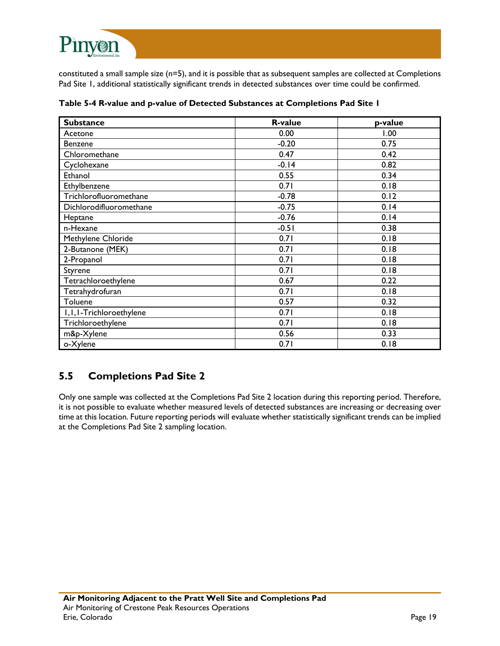

constituted a small sample size (n=5), and it is possible that as subsequent samples are collected at Completions Pad Site 1, additional statistically significant trends in detected substances over time could be confirmed.

| <b>Substance</b>          | <b>R-value</b> | p-value |
|---------------------------|----------------|---------|
| Acetone                   | 0.00           | 1.00    |
| Benzene                   | $-0.20$        | 0.75    |
| Chloromethane             | 0.47           | 0.42    |
| Cyclohexane               | $-0.14$        | 0.82    |
| Ethanol                   | 0.55           | 0.34    |
| Ethylbenzene              | 0.71           | 0.18    |
| Trichlorofluoromethane    | $-0.78$        | 0.12    |
| Dichlorodifluoromethane   | $-0.75$        | 0.14    |
| Heptane                   | $-0.76$        | 0.14    |
| n-Hexane                  | $-0.51$        | 0.38    |
| Methylene Chloride        | 0.71           | 0.18    |
| 2-Butanone (MEK)          | 0.71           | 0.18    |
| 2-Propanol                | 0.71           | 0.18    |
| Styrene                   | 0.71           | 0.18    |
| Tetrachloroethylene       | 0.67           | 0.22    |
| Tetrahydrofuran           | 0.71           | 0.18    |
| Toluene                   | 0.57           | 0.32    |
| I, I, I-Trichloroethylene | 0.71           | 0.18    |
| Trichloroethylene         | 0.71           | 0.18    |
| m&p-Xylene                | 0.56           | 0.33    |
| o-Xylene                  | 0.71           | 0.18    |

**Table 5-4 R-value and p-value of Detected Substances at Completions Pad Site 1** 

# **5.5 Completions Pad Site 2**

Only one sample was collected at the Completions Pad Site 2 location during this reporting period. Therefore, it is not possible to evaluate whether measured levels of detected substances are increasing or decreasing over time at this location. Future reporting periods will evaluate whether statistically significant trends can be implied at the Completions Pad Site 2 sampling location.